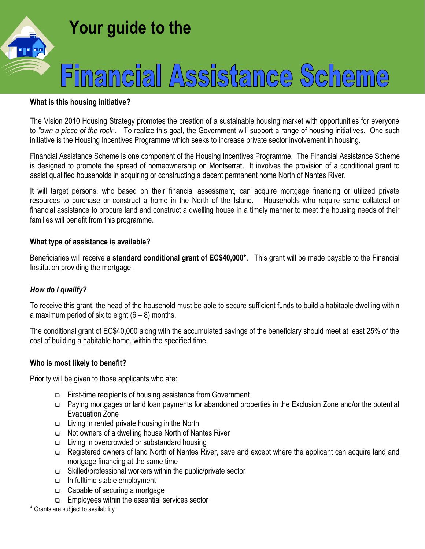

#### **What is this housing initiative?**

The Vision 2010 Housing Strategy promotes the creation of a sustainable housing market with opportunities for everyone to *"own a piece of the rock"*. To realize this goal, the Government will support a range of housing initiatives. One such initiative is the Housing Incentives Programme which seeks to increase private sector involvement in housing.

Financial Assistance Scheme is one component of the Housing Incentives Programme. The Financial Assistance Scheme is designed to promote the spread of homeownership on Montserrat. It involves the provision of a conditional grant to assist qualified households in acquiring or constructing a decent permanent home North of Nantes River.

It will target persons, who based on their financial assessment, can acquire mortgage financing or utilized private resources to purchase or construct a home in the North of the Island. Households who require some collateral or financial assistance to procure land and construct a dwelling house in a timely manner to meet the housing needs of their families will benefit from this programme.

### **What type of assistance is available?**

Beneficiaries will receive **a standard conditional grant of EC\$40,000\***. This grant will be made payable to the Financial Institution providing the mortgage.

## *How do I qualify?*

To receive this grant, the head of the household must be able to secure sufficient funds to build a habitable dwelling within a maximum period of six to eight  $(6 - 8)$  months.

The conditional grant of EC\$40,000 along with the accumulated savings of the beneficiary should meet at least 25% of the cost of building a habitable home, within the specified time.

#### **Who is most likely to benefit?**

Priority will be given to those applicants who are:

- First-time recipients of housing assistance from Government
- □ Paying mortgages or land loan payments for abandoned properties in the Exclusion Zone and/or the potential Evacuation Zone
- $\Box$  Living in rented private housing in the North
- $\Box$  Not owners of a dwelling house North of Nantes River
- □ Living in overcrowded or substandard housing
- □ Registered owners of land North of Nantes River, save and except where the applicant can acquire land and mortgage financing at the same time
- $\Box$  Skilled/professional workers within the public/private sector
- □ In fulltime stable employment
- □ Capable of securing a mortgage
- $\Box$  Employees within the essential services sector

**\*** Grants are subject to availability